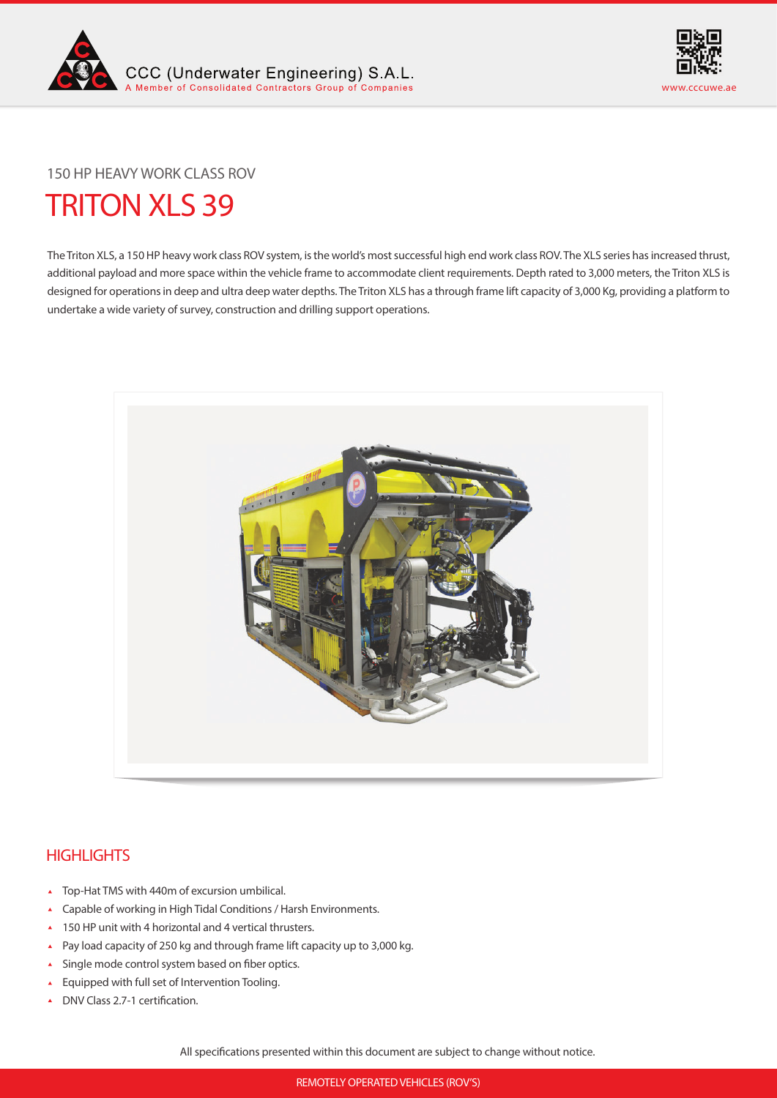



150 HP HEAVY WORK CLASS ROV

# TRITON XLS 39

The Triton XLS, a 150 HP heavy work class ROV system, is the world's most successful high end work class ROV. The XLS series has increased thrust, additional payload and more space within the vehicle frame to accommodate client requirements. Depth rated to 3,000 meters, the Triton XLS is designed for operations in deep and ultra deep water depths. The Triton XLS has a through frame lift capacity of 3,000 Kg, providing a platform to undertake a wide variety of survey, construction and drilling support operations.



## **HIGHLIGHTS**

- Top-Hat TMS with 440m of excursion umbilical.
- Capable of working in High Tidal Conditions / Harsh Environments.
- ▲ 150 HP unit with 4 horizontal and 4 vertical thrusters.
- Pay load capacity of 250 kg and through frame lift capacity up to 3,000 kg.  $\mathbf{x}$
- Single mode control system based on fiber optics.  $\Delta$
- Equipped with full set of Intervention Tooling.  $\mathbf{A}$
- ▲ DNV Class 2.7-1 certification.

All specifications presented within this document are subject to change without notice.